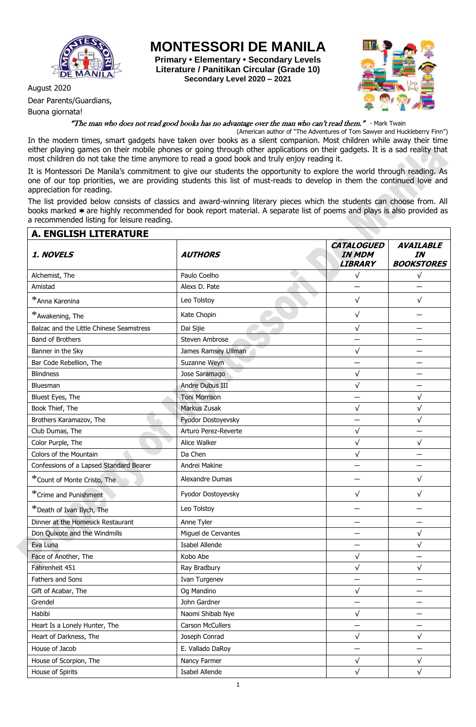

Dear Parents/Guardians,

Buona giornata!

**MONTESSORI DE MANILA**

**Primary • Elementary • Secondary Levels Literature / Panitikan Circular (Grade 10) Secondary Level 2020 – 2021**



## "The man who does not read good books has no advantage over the man who can't read them." - Mark Twain

(American author of "The Adventures of Tom Sawyer and Huckleberry Finn")

In the modern times, smart gadgets have taken over books as a silent companion. Most children while away their time either playing games on their mobile phones or going through other applications on their gadgets. It is a sad reality that most children do not take the time anymore to read a good book and truly enjoy reading it.

It is Montessori De Manila's commitment to give our students the opportunity to explore the world through reading. As one of our top priorities, we are providing students this list of must-reads to develop in them the continued love and appreciation for reading.

The list provided below consists of classics and award-winning literary pieces which the students can choose from. All books marked \* are highly recommended for book report material. A separate list of poems and plays is also provided as a recommended listing for leisure reading.

| <b>A. ENGLISH LITERATURE</b>             |                      |                                                      |                                             |
|------------------------------------------|----------------------|------------------------------------------------------|---------------------------------------------|
| 1. NOVELS                                | <b>AUTHORS</b>       | <b>CATALOGUED</b><br><b>IN MDM</b><br><b>LIBRARY</b> | <b>AVAILABLE</b><br>IN<br><b>BOOKSTORES</b> |
| Alchemist, The                           | Paulo Coelho         | $\sqrt{}$                                            | $\sqrt{}$                                   |
| Amistad                                  | Alexs D. Pate        |                                                      |                                             |
| *Anna Karenina                           | Leo Tolstoy          | $\sqrt{}$                                            | $\sqrt{}$                                   |
| *Awakening, The                          | Kate Chopin          | $\sqrt{}$                                            |                                             |
| Balzac and the Little Chinese Seamstress | Dai Sijie            | $\sqrt{}$                                            |                                             |
| Band of Brothers                         | Steven Ambrose       |                                                      |                                             |
| Banner in the Sky                        | James Ramsey Ullman  | $\sqrt{}$                                            |                                             |
| Bar Code Rebellion, The                  | Suzanne Weyn         |                                                      |                                             |
| <b>Blindness</b>                         | Jose Saramago        | $\sqrt{}$                                            |                                             |
| Bluesman                                 | Andre Dubus III      | $\sqrt{}$                                            |                                             |
| Bluest Eyes, The                         | <b>Toni Morrison</b> |                                                      | $\sqrt{}$                                   |
| Book Thief, The                          | Markus Zusak         | $\sqrt{}$                                            | $\sqrt{}$                                   |
| Brothers Karamazov, The                  | Fyodor Dostoyevsky   |                                                      | $\sqrt{}$                                   |
| Club Dumas, The                          | Arturo Perez-Reverte | $\sqrt{}$                                            |                                             |
| Color Purple, The                        | Alice Walker         | $\sqrt{}$                                            | $\sqrt{}$                                   |
| Colors of the Mountain                   | Da Chen              | $\sqrt{}$                                            |                                             |
| Confessions of a Lapsed Standard Bearer  | Andrei Makine        |                                                      |                                             |
| *Count of Monte Cristo, The              | Alexandre Dumas      |                                                      | $\sqrt{}$                                   |
| *Crime and Punishment                    | Fyodor Dostoyevsky   | $\sqrt{}$                                            | $\sqrt{}$                                   |
| *Death of Ivan Ilych, The                | Leo Tolstoy          |                                                      |                                             |
| Dinner at the Homesick Restaurant        | Anne Tyler           |                                                      |                                             |
| Don Quixote and the Windmills            | Miguel de Cervantes  |                                                      | √                                           |
| Eva Luna                                 | Isabel Allende       |                                                      | $\sqrt{}$                                   |
| Face of Another, The                     | Kobo Abe             | $\sqrt{ }$                                           |                                             |
| Fahrenheit 451                           | Ray Bradbury         | $\sqrt{}$                                            | $\sqrt{}$                                   |
| Fathers and Sons                         | Ivan Turgenev        |                                                      |                                             |
| Gift of Acabar, The                      | Og Mandino           | $\sqrt{}$                                            | —                                           |
| Grendel                                  | John Gardner         |                                                      |                                             |
| Habibi                                   | Naomi Shibab Nye     | $\sqrt{}$                                            |                                             |
| Heart Is a Lonely Hunter, The            | Carson McCullers     |                                                      |                                             |
| Heart of Darkness, The                   | Joseph Conrad        | $\sqrt{ }$                                           | $\sqrt{}$                                   |
| House of Jacob                           | E. Vallado DaRoy     |                                                      |                                             |
| House of Scorpion, The                   | Nancy Farmer         | $\sqrt{}$                                            | $\sqrt{}$                                   |
| House of Spirits                         | Isabel Allende       | $\sqrt{ }$                                           | $\sqrt{}$                                   |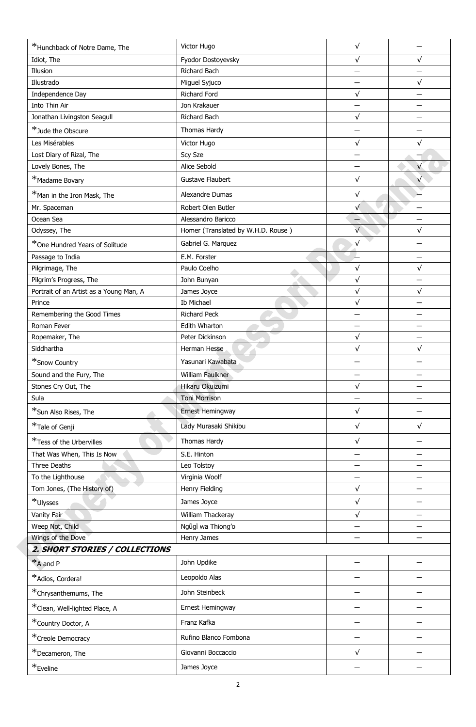| *Hunchback of Notre Dame, The           | Victor Hugo                        | $\sqrt{}$  |           |
|-----------------------------------------|------------------------------------|------------|-----------|
| Idiot, The                              | Fyodor Dostoyevsky                 | $\sqrt{}$  | $\sqrt{}$ |
| Illusion                                | Richard Bach                       |            |           |
| Illustrado                              | Miguel Syjuco                      |            | $\sqrt{}$ |
| Independence Day                        | Richard Ford                       | $\sqrt{}$  |           |
| Into Thin Air                           | Jon Krakauer                       |            |           |
| Jonathan Livingston Seagull             | Richard Bach                       | $\sqrt{}$  |           |
| *Jude the Obscure                       | Thomas Hardy                       |            |           |
| Les Misérables                          | Victor Hugo                        | $\sqrt{}$  | $\sqrt{}$ |
| Lost Diary of Rizal, The                | Scy Sze                            |            |           |
| Lovely Bones, The                       | Alice Sebold                       |            | $\sqrt{}$ |
| *Madame Bovary                          | Gustave Flaubert                   | $\sqrt{}$  |           |
| *Man in the Iron Mask, The              | Alexandre Dumas                    | $\sqrt{}$  |           |
| Mr. Spaceman                            | Robert Olen Butler                 | $\sqrt{}$  |           |
| Ocean Sea                               | Alessandro Baricco                 |            |           |
| Odyssey, The                            | Homer (Translated by W.H.D. Rouse) | $\sqrt{}$  | $\sqrt{}$ |
| *One Hundred Years of Solitude          | Gabriel G. Marquez                 | $\sqrt{}$  |           |
| Passage to India                        | E.M. Forster                       |            |           |
| Pilgrimage, The                         | Paulo Coelho                       | $\sqrt{}$  | $\sqrt{}$ |
| Pilgrim's Progress, The                 | John Bunyan                        | $\sqrt{}$  |           |
| Portrait of an Artist as a Young Man, A | James Joyce                        | $\sqrt{}$  | $\sqrt{}$ |
| Prince                                  | Ib Michael                         | $\sqrt{}$  |           |
| Remembering the Good Times              | <b>Richard Peck</b>                |            |           |
| Roman Fever                             | Edith Wharton                      |            |           |
| Ropemaker, The                          | Peter Dickinson                    | $\sqrt{}$  |           |
| Siddhartha                              | Herman Hesse                       | $\sqrt{}$  | $\sqrt{}$ |
| *Snow Country                           | Yasunari Kawabata                  |            |           |
| Sound and the Fury, The                 | William Faulkner                   |            |           |
| Stones Cry Out, The                     | Hikaru Okuizumi                    | $\sqrt{}$  |           |
| Sula                                    | <b>Toni Morrison</b>               |            |           |
| *Sun Also Rises, The                    | Ernest Hemingway                   | $\sqrt{}$  |           |
| *Tale of Genji                          | Lady Murasaki Shikibu              | $\sqrt{}$  | $\sqrt{}$ |
| *Tess of the Urbervilles                | Thomas Hardy                       | $\sqrt{}$  |           |
| That Was When, This Is Now              | S.E. Hinton                        | —          |           |
| Three Deaths                            | Leo Tolstoy                        |            |           |
| To the Lighthouse                       | Virginia Woolf                     |            |           |
| Tom Jones, (The History of)             | Henry Fielding                     | $\sqrt{}$  |           |
| $*$ Ulysses                             | James Joyce                        | $\sqrt{}$  |           |
| Vanity Fair                             | William Thackeray                  | $\sqrt{ }$ |           |
| Weep Not, Child                         | Ngũgĩ wa Thiong'o                  |            |           |
| Wings of the Dove                       | Henry James                        |            |           |
| 2. SHORT STORIES / COLLECTIONS          |                                    |            |           |
| *A and P                                | John Updike                        |            |           |
| *Adios, Cordera!                        | Leopoldo Alas                      |            |           |
| *Chrysanthemums, The                    | John Steinbeck                     |            |           |
| *Clean, Well-lighted Place, A           | Ernest Hemingway                   |            |           |
| *Country Doctor, A                      | Franz Kafka                        |            |           |
| *Creole Democracy                       | Rufino Blanco Fombona              |            |           |
| *Decameron, The                         | Giovanni Boccaccio                 | $\sqrt{ }$ |           |
| *Eveline                                | James Joyce                        |            |           |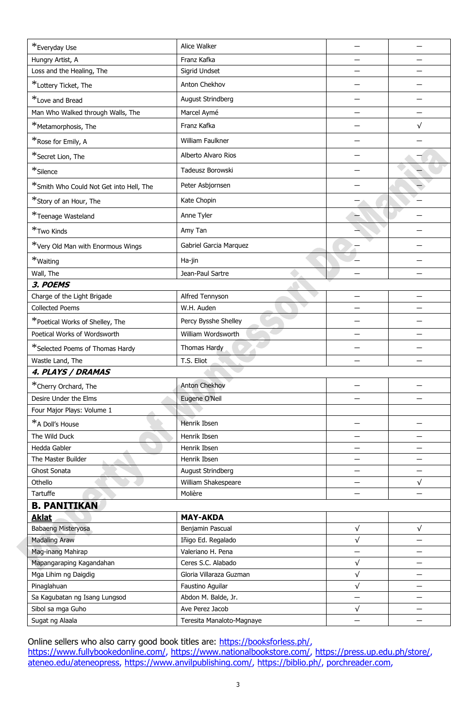| *Everyday Use                           | Alice Walker              |            |                          |
|-----------------------------------------|---------------------------|------------|--------------------------|
| Hungry Artist, A                        | Franz Kafka               |            |                          |
| Loss and the Healing, The               | Sigrid Undset             |            |                          |
| *Lottery Ticket, The                    | Anton Chekhov             |            |                          |
| *Love and Bread                         | August Strindberg         |            |                          |
| Man Who Walked through Walls, The       | Marcel Aymé               |            |                          |
| *Metamorphosis, The                     | Franz Kafka               |            | $\sqrt{}$                |
| *Rose for Emily, A                      | William Faulkner          |            |                          |
| *Secret Lion, The                       | Alberto Alvaro Rios       |            |                          |
| $*$ Silence                             | Tadeusz Borowski          |            |                          |
| *Smith Who Could Not Get into Hell, The | Peter Asbjornsen          |            |                          |
| *Story of an Hour, The                  | Kate Chopin               |            |                          |
| *Teenage Wasteland                      | Anne Tyler                |            |                          |
| *Two Kinds                              | Amy Tan                   |            |                          |
| *Very Old Man with Enormous Wings       | Gabriel Garcia Marquez    |            |                          |
| *Waiting                                | Ha-jin                    |            |                          |
| Wall, The                               | Jean-Paul Sartre          |            |                          |
| 3. POEMS                                |                           |            |                          |
| Charge of the Light Brigade             | Alfred Tennyson           |            |                          |
| <b>Collected Poems</b>                  | W.H. Auden                |            |                          |
| *Poetical Works of Shelley, The         | Percy Bysshe Shelley      |            |                          |
| Poetical Works of Wordsworth            | William Wordsworth        |            |                          |
| *Selected Poems of Thomas Hardy         | Thomas Hardy              |            |                          |
| Wastle Land, The                        | T.S. Eliot                |            |                          |
| 4. PLAYS / DRAMAS                       |                           |            |                          |
| *Cherry Orchard, The                    | Anton Chekhov             |            |                          |
| Desire Under the Elms                   | Eugene O'Neil             |            |                          |
| Four Major Plays: Volume 1              |                           |            |                          |
| *A Doll's House                         | Henrik Ibsen              |            |                          |
| The Wild Duck                           | Henrik Ibsen              |            |                          |
| Hedda Gabler                            | Henrik Ibsen              |            |                          |
| The Master Builder                      | Henrik Ibsen              |            |                          |
| Ghost Sonata                            | August Strindberg         |            |                          |
| Othello                                 | William Shakespeare       |            | $\sqrt{}$                |
| Tartuffe                                | Molière                   |            |                          |
| <b>B. PANITIKAN</b>                     |                           |            |                          |
| <b>Aklat</b>                            | <b>MAY-AKDA</b>           |            |                          |
| Babaeng Misteryosa                      | Benjamin Pascual          | $\sqrt{ }$ | $\sqrt{ }$               |
| <b>Madaling Araw</b>                    | Iñigo Ed. Regalado        | $\sqrt{ }$ |                          |
| Mag-inang Mahirap                       | Valeriano H. Pena         |            |                          |
| Mapangaraping Kagandahan                | Ceres S.C. Alabado        | $\sqrt{}$  |                          |
| Mga Lihim ng Daigdig                    | Gloria Villaraza Guzman   | $\sqrt{ }$ | $\overline{\phantom{0}}$ |
| Pinaglahuan                             | Faustino Aguilar          | $\sqrt{ }$ |                          |
| Sa Kagubatan ng Isang Lungsod           | Abdon M. Balde, Jr.       |            |                          |
| Sibol sa mga Guho                       | Ave Perez Jacob           | $\sqrt{}$  |                          |
| Sugat ng Alaala                         | Teresita Manaloto-Magnaye |            |                          |

Online sellers who also carry good book titles are: [https://booksforless.ph/,](https://booksforless.ph/) [https://www.fullybookedonline.com/,](https://www.fullybookedonline.com/) [https://www.nationalbookstore.com/,](https://www.nationalbookstore.com/) [https://press.up.edu.ph/store/,](https://press.up.edu.ph/store/) [ateneo.edu/ateneopress,](http://ateneo.edu/ateneopress) [https://www.anvilpublishing.com/,](https://www.anvilpublishing.com/) [https://biblio.ph/,](https://biblio.ph/) [porchreader.com,](http://porchreader.com/)